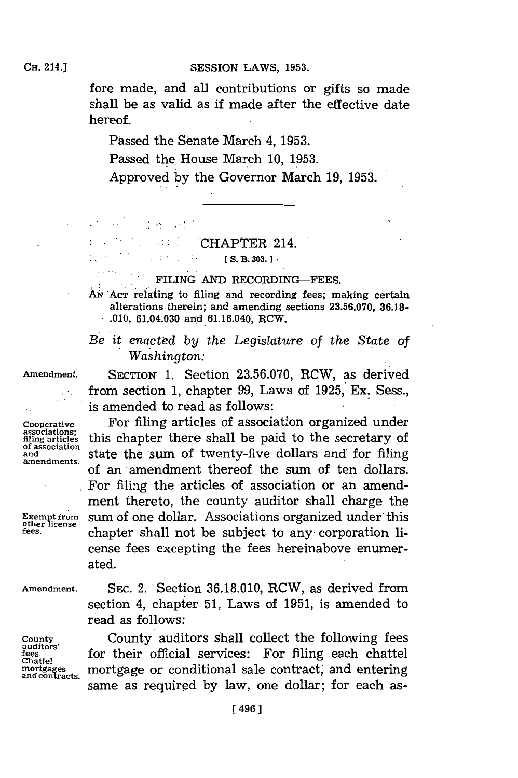fore made, and all contributions or gifts so made shall be as valid as if made after the effective date hereof.

Passed the Senate March 4, **1953.** Passed the House March **10, 1953.** Approved **by** the Governor March **19, 1953.**

> is et kob ú  $\mathbb{R}^{\mathbb{Z}^{\times}}$

 $\therefore$ 

## CHAPTER 214.

## FILING AND RECORDING-FEES.

AN Acr relating to filing and recording fees; making certain alterations therein; and amending sections **23.56.070, 36.18- .010,** 61.04.030. and 61.16.040, RCW.

*Be it enacted by the Legislature of the State of Washington:*

**of association**

**other license**

**Amendment.** SECTION **1.** Section **23.56.070,** RCW, as derived from section **1,** chapter **99,** Laws of **1925,** Ex. Sess., is amended to read as follows:

**Cooperative** For filing articles of association organized under **filing** article; this chapter there shall be paid to the secretary of and and state the sum of twenty-five dollars and for filing amendments. **of an amendment thereof the sum of ten dollars.** For filing the articles of association or an amendment thereto, the county auditor shall charge the **Exempt from** sum of one dollar. Associations organized under this **fees.** chapter shall not be subject to any corporation license fees excepting the fees hereinabove enumerated.

Amendment. SEC. 2. Section 36.18.010, RCW, as derived from

**auditors' Chattel** section 4, chapter **51,** Laws of **1951,** is amended to read as follows: **County** County auditors shall collect the following fees

for their official services: For filing each chattel mortgages mortgage or conditional sale contract, and entering same as required **by** law, one dollar; for each as-

 $[$  S. B. 303.  $]$ .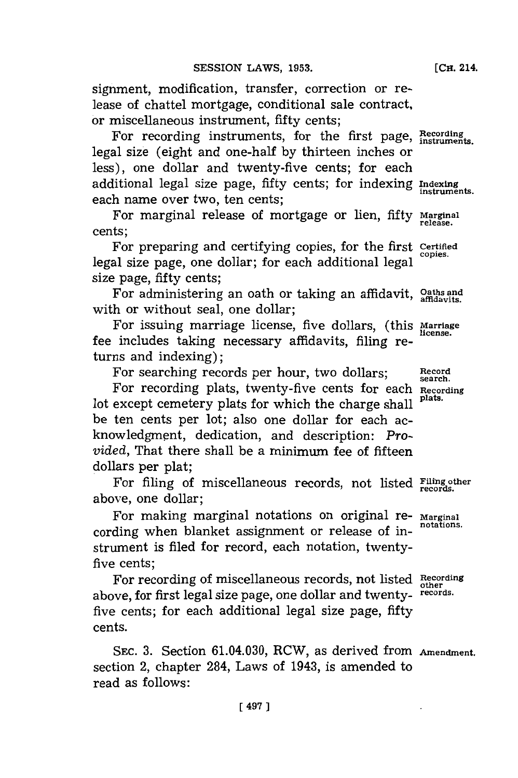signment, modification, transfer, correction or release of chattel mortgage, conditional sale contract, or miscellaneous instrument, fifty cents;

For recording instruments, for the first page, Recording legal size (eight and one-half **by** thirteen inches or less), one dollar and twenty-five cents; for each additional legal size page, fifty cents; for indexing **Indexing~**  $\frac{1}{2}$  instruments and  $\frac{1}{2}$  instruments;

For marginal release of mortgage or lien, fifty **rarginai** cents;

For preparing and certifying copies, for the first **Certified** legal size page, one dollar; for each additional legal size page, fifty cents;

For administering an oath or taking an affidavit, **Oaths and** with or without seal, one dollar;

For issuing marriage license, five dollars, (this **Marriage** fee includes taking necessary afflidavits, filing returns and indexing);

For searching records per hour, two dollars; Record

For recording plats, twenty-five cents for each **Recording** lot except cemetery plats for which the charge shall <sup>plats.</sup> be ten cents per lot; also one dollar for each acknowledgment, dedication, and description: *Provided,* That there shall be a minimum fee of fifteen dollars per plat;

For filing of miscellaneous records, not listed **Filing other** above, one dollar;

For making marginal notations on original re- Marginal cording when blanket assignment or release of instrument is filed for record, each notation, twentyfive cents;

For recording of miscellaneous records, not listed **Recording other** above, for first legal size page, one dollar and twenty- **records.** five cents; for each additional legal size page, fifty cents.

**SEC. 3.** Section 61.04.030, RCW, as derived from **Amendment.** section 2, chapter 284, Laws of 1943, is amended to read as follows:

**[ 497]**

**[CH.** 214.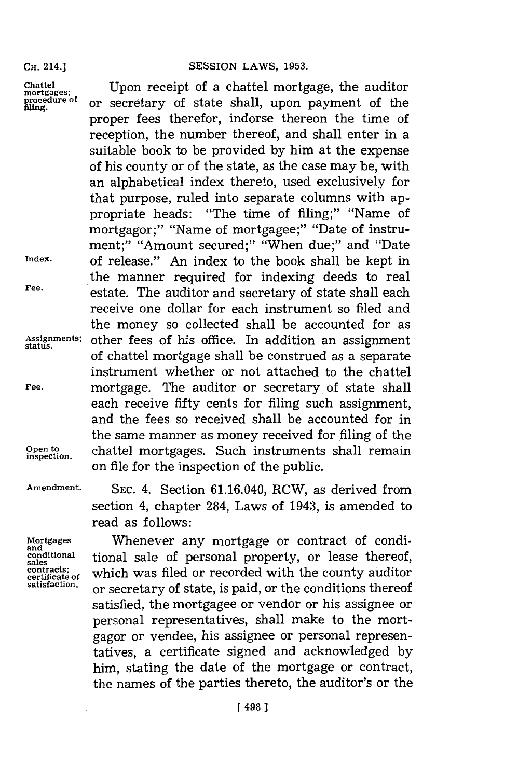## **CH.** 214.] **SESSION** LAWS, **1953.**

Chattel Upon receipt of a chattel mortgage, the auditor mortgages; Upon receipt mortgages; or secretary of state shall, upon payment of the proper fees therefor, indorse thereon the time of reception, the number thereof, and shall enter in a suitable book to be provided **by** him at the expense of his county or of the state, as the case may be, with an alphabetical index thereto, used exclusively for that purpose, ruled into separate columns with appropriate heads: "The time of filing;" "Name of mortgagor;" "Name of mortgagee;" "Date of instrument;" "Amount secured;" "When due;" and "Date **Index.** of release." An index to the book shall be kept in the manner required for indexing deeds to real **Fee,** estate. The auditor and secretary of state shall each receive one dollar for each instrument so filed and the money so collected shall be accounted for as **Assignments;** other fees of his office. In addition an assignment **status.** of chattel mortgage shall be construed as a separate instrument whether or not attached to the chattel **Fee,** mortgage. The auditor or secretary of state shall each receive fifty cents for filing such assignment, and the fees so received shall be accounted for in the same manner as money received for filing of the **Open to?** chattel mortgages. Such instruments shall remain on file for the inspection of the public.

**inspection.**

**Amendment. SEC.** 4. Section 61.16.040, RCW, as derived from section 4, chapter 284, Laws of 1943, is amended to read as follows:

**Mortgages** Whenever any mortgage or contract of condiconditional tional sale of personal property, or lease thereof, **stall** contracts; which was filed or recorded with the county auditor estimate of state  $\frac{1}{n}$  and  $\frac{1}{n}$  are conditions thereof **satisfaction,** or secretary of state, is paid, or the conditions thereof satisfied, the mortgagee or vendor or his assignee or personal representatives, shall make to the mortgagor or vendee, his assignee or personal representatives, a certificate signed and acknowledged **by** him, stating the date of the mortgage or contract, the names of the parties thereto, the auditor's or the